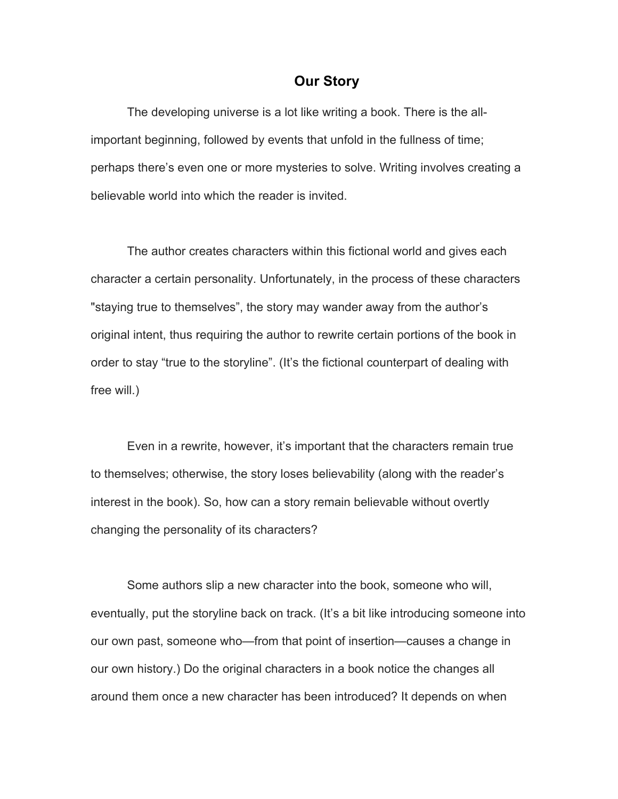## **Our Story**

The developing universe is a lot like writing a book. There is the allimportant beginning, followed by events that unfold in the fullness of time; perhaps there's even one or more mysteries to solve. Writing involves creating a believable world into which the reader is invited.

The author creates characters within this fictional world and gives each character a certain personality. Unfortunately, in the process of these characters "staying true to themselves", the story may wander away from the author's original intent, thus requiring the author to rewrite certain portions of the book in order to stay "true to the storyline". (It's the fictional counterpart of dealing with free will.)

Even in a rewrite, however, it's important that the characters remain true to themselves; otherwise, the story loses believability (along with the reader's interest in the book). So, how can a story remain believable without overtly changing the personality of its characters?

Some authors slip a new character into the book, someone who will, eventually, put the storyline back on track. (It's a bit like introducing someone into our own past, someone who—from that point of insertion—causes a change in our own history.) Do the original characters in a book notice the changes all around them once a new character has been introduced? It depends on when